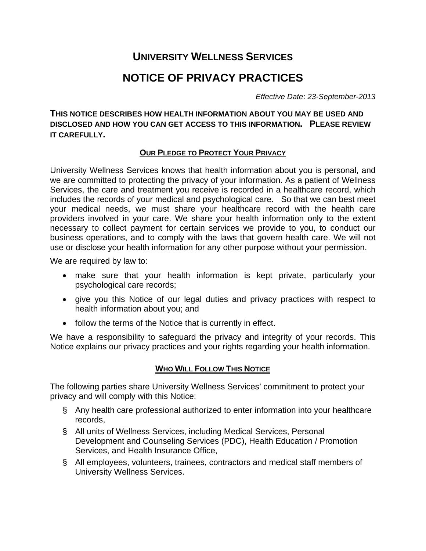# **UNIVERSITY WELLNESS SERVICES**

# **NOTICE OF PRIVACY PRACTICES**

*Effective Date*: *23-September-2013*

**THIS NOTICE DESCRIBES HOW HEALTH INFORMATION ABOUT YOU MAY BE USED AND DISCLOSED AND HOW YOU CAN GET ACCESS TO THIS INFORMATION. PLEASE REVIEW IT CAREFULLY.**

# **OUR PLEDGE TO PROTECT YOUR PRIVACY**

University Wellness Services knows that health information about you is personal, and we are committed to protecting the privacy of your information. As a patient of Wellness Services, the care and treatment you receive is recorded in a healthcare record, which includes the records of your medical and psychological care. So that we can best meet your medical needs, we must share your healthcare record with the health care providers involved in your care. We share your health information only to the extent necessary to collect payment for certain services we provide to you, to conduct our business operations, and to comply with the laws that govern health care. We will not use or disclose your health information for any other purpose without your permission.

We are required by law to:

- make sure that your health information is kept private, particularly your psychological care records;
- give you this Notice of our legal duties and privacy practices with respect to health information about you; and
- follow the terms of the Notice that is currently in effect.

We have a responsibility to safeguard the privacy and integrity of your records. This Notice explains our privacy practices and your rights regarding your health information.

# **WHO WILL FOLLOW THIS NOTICE**

The following parties share University Wellness Services' commitment to protect your privacy and will comply with this Notice:

- § Any health care professional authorized to enter information into your healthcare records,
- § All units of Wellness Services, including Medical Services, Personal Development and Counseling Services (PDC), Health Education / Promotion Services, and Health Insurance Office,
- § All employees, volunteers, trainees, contractors and medical staff members of University Wellness Services.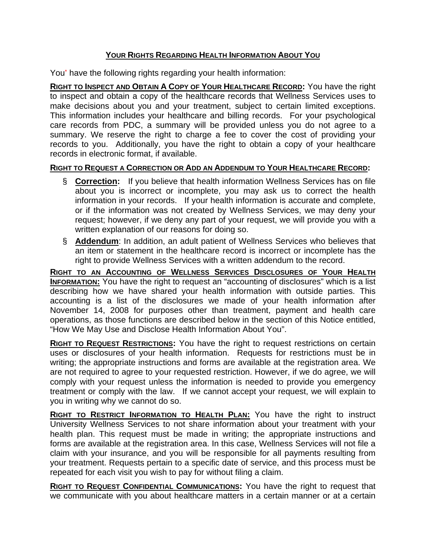# **YOUR RIGHTS REGARDING HEALTH INFORMATION ABOUT YOU**

You\* have the following rights regarding your health information:

**RIGHT TO INSPECT AND OBTAIN A COPY OF YOUR HEALTHCARE RECORD:** You have the right to inspect and obtain a copy of the healthcare records that Wellness Services uses to make decisions about you and your treatment, subject to certain limited exceptions. This information includes your healthcare and billing records. For your psychological care records from PDC, a summary will be provided unless you do not agree to a summary. We reserve the right to charge a fee to cover the cost of providing your records to you. Additionally, you have the right to obtain a copy of your healthcare records in electronic format, if available.

# **RIGHT TO REQUEST A CORRECTION OR ADD AN ADDENDUM TO YOUR HEALTHCARE RECORD:**

- § **Correction:** If you believe that health information Wellness Services has on file about you is incorrect or incomplete, you may ask us to correct the health information in your records. If your health information is accurate and complete, or if the information was not created by Wellness Services, we may deny your request; however, if we deny any part of your request, we will provide you with a written explanation of our reasons for doing so.
- § **Addendum**: In addition, an adult patient of Wellness Services who believes that an item or statement in the healthcare record is incorrect or incomplete has the right to provide Wellness Services with a written addendum to the record.

**RIGHT TO AN ACCOUNTING OF WELLNESS SERVICES DISCLOSURES OF YOUR HEALTH INFORMATION:** You have the right to request an "accounting of disclosures" which is a list describing how we have shared your health information with outside parties. This accounting is a list of the disclosures we made of your health information after November 14, 2008 for purposes other than treatment, payment and health care operations, as those functions are described below in the section of this Notice entitled, "How We May Use and Disclose Health Information About You".

**RIGHT TO REQUEST RESTRICTIONS:** You have the right to request restrictions on certain uses or disclosures of your health information. Requests for restrictions must be in writing; the appropriate instructions and forms are available at the registration area. We are not required to agree to your requested restriction. However, if we do agree, we will comply with your request unless the information is needed to provide you emergency treatment or comply with the law. If we cannot accept your request, we will explain to you in writing why we cannot do so.

**RIGHT TO RESTRICT INFORMATION TO HEALTH PLAN:** You have the right to instruct University Wellness Services to not share information about your treatment with your health plan. This request must be made in writing; the appropriate instructions and forms are available at the registration area. In this case, Wellness Services will not file a claim with your insurance, and you will be responsible for all payments resulting from your treatment. Requests pertain to a specific date of service, and this process must be repeated for each visit you wish to pay for without filing a claim.

**RIGHT TO REQUEST CONFIDENTIAL COMMUNICATIONS:** You have the right to request that we communicate with you about healthcare matters in a certain manner or at a certain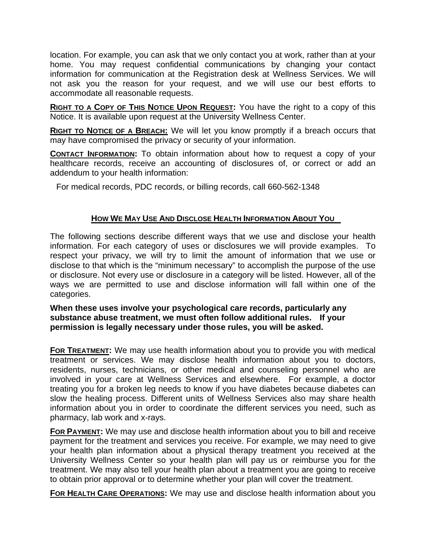location. For example, you can ask that we only contact you at work, rather than at your home. You may request confidential communications by changing your contact information for communication at the Registration desk at Wellness Services. We will not ask you the reason for your request, and we will use our best efforts to accommodate all reasonable requests.

**RIGHT TO A COPY OF THIS NOTICE UPON REQUEST:** You have the right to a copy of this Notice. It is available upon request at the University Wellness Center.

**RIGHT TO NOTICE OF A BREACH:** We will let you know promptly if a breach occurs that may have compromised the privacy or security of your information.

**CONTACT INFORMATION:** To obtain information about how to request a copy of your healthcare records, receive an accounting of disclosures of, or correct or add an addendum to your health information:

For medical records, PDC records, or billing records, call 660-562-1348

# **HOW WE MAY USE AND DISCLOSE HEALTH INFORMATION ABOUT YOU**

The following sections describe different ways that we use and disclose your health information. For each category of uses or disclosures we will provide examples. To respect your privacy, we will try to limit the amount of information that we use or disclose to that which is the "minimum necessary" to accomplish the purpose of the use or disclosure. Not every use or disclosure in a category will be listed. However, all of the ways we are permitted to use and disclose information will fall within one of the categories.

**When these uses involve your psychological care records, particularly any substance abuse treatment, we must often follow additional rules. If your permission is legally necessary under those rules, you will be asked.** 

**FOR TREATMENT:** We may use health information about you to provide you with medical treatment or services. We may disclose health information about you to doctors, residents, nurses, technicians, or other medical and counseling personnel who are involved in your care at Wellness Services and elsewhere. For example, a doctor treating you for a broken leg needs to know if you have diabetes because diabetes can slow the healing process. Different units of Wellness Services also may share health information about you in order to coordinate the different services you need, such as pharmacy, lab work and x-rays.

**FOR PAYMENT:** We may use and disclose health information about you to bill and receive payment for the treatment and services you receive. For example, we may need to give your health plan information about a physical therapy treatment you received at the University Wellness Center so your health plan will pay us or reimburse you for the treatment. We may also tell your health plan about a treatment you are going to receive to obtain prior approval or to determine whether your plan will cover the treatment.

**FOR HEALTH CARE OPERATIONS:** We may use and disclose health information about you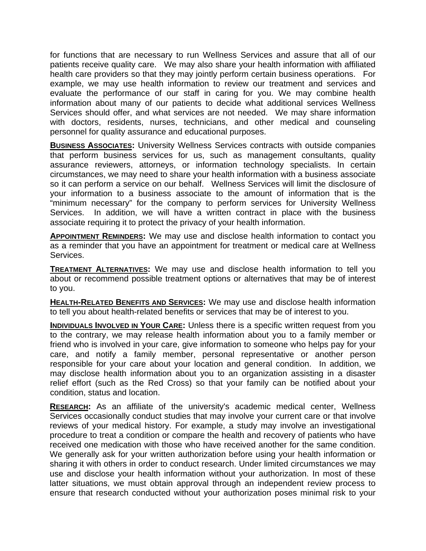for functions that are necessary to run Wellness Services and assure that all of our patients receive quality care. We may also share your health information with affiliated health care providers so that they may jointly perform certain business operations. For example, we may use health information to review our treatment and services and evaluate the performance of our staff in caring for you. We may combine health information about many of our patients to decide what additional services Wellness Services should offer, and what services are not needed. We may share information with doctors, residents, nurses, technicians, and other medical and counseling personnel for quality assurance and educational purposes.

**BUSINESS ASSOCIATES:** University Wellness Services contracts with outside companies that perform business services for us, such as management consultants, quality assurance reviewers, attorneys, or information technology specialists. In certain circumstances, we may need to share your health information with a business associate so it can perform a service on our behalf. Wellness Services will limit the disclosure of your information to a business associate to the amount of information that is the "minimum necessary" for the company to perform services for University Wellness Services. In addition, we will have a written contract in place with the business associate requiring it to protect the privacy of your health information.

**APPOINTMENT REMINDERS:** We may use and disclose health information to contact you as a reminder that you have an appointment for treatment or medical care at Wellness Services.

**TREATMENT ALTERNATIVES:** We may use and disclose health information to tell you about or recommend possible treatment options or alternatives that may be of interest to you.

**HEALTH-RELATED BENEFITS AND SERVICES:** We may use and disclose health information to tell you about health-related benefits or services that may be of interest to you.

**INDIVIDUALS INVOLVED IN YOUR CARE:** Unless there is a specific written request from you to the contrary, we may release health information about you to a family member or friend who is involved in your care, give information to someone who helps pay for your care, and notify a family member, personal representative or another person responsible for your care about your location and general condition. In addition, we may disclose health information about you to an organization assisting in a disaster relief effort (such as the Red Cross) so that your family can be notified about your condition, status and location.

**RESEARCH:** As an affiliate of the university's academic medical center, Wellness Services occasionally conduct studies that may involve your current care or that involve reviews of your medical history. For example, a study may involve an investigational procedure to treat a condition or compare the health and recovery of patients who have received one medication with those who have received another for the same condition. We generally ask for your written authorization before using your health information or sharing it with others in order to conduct research. Under limited circumstances we may use and disclose your health information without your authorization. In most of these latter situations, we must obtain approval through an independent review process to ensure that research conducted without your authorization poses minimal risk to your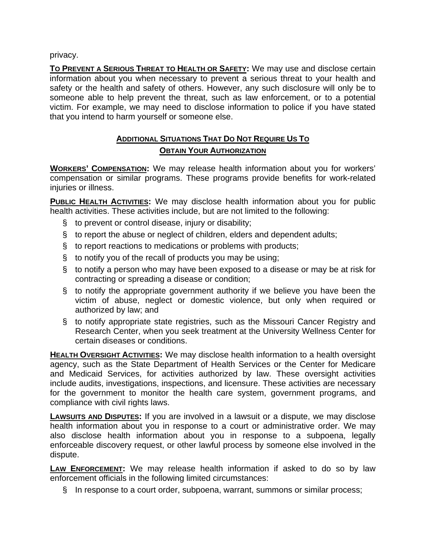privacy.

**TO PREVENT A SERIOUS THREAT TO HEALTH OR SAFETY:** We may use and disclose certain information about you when necessary to prevent a serious threat to your health and safety or the health and safety of others. However, any such disclosure will only be to someone able to help prevent the threat, such as law enforcement, or to a potential victim. For example, we may need to disclose information to police if you have stated that you intend to harm yourself or someone else.

# **ADDITIONAL SITUATIONS THAT DO NOT REQUIRE US TO OBTAIN YOUR AUTHORIZATION**

**WORKERS' COMPENSATION:** We may release health information about you for workers' compensation or similar programs. These programs provide benefits for work-related injuries or illness.

**PUBLIC HEALTH ACTIVITIES:** We may disclose health information about you for public health activities. These activities include, but are not limited to the following:

- § to prevent or control disease, injury or disability;
- § to report the abuse or neglect of children, elders and dependent adults;
- § to report reactions to medications or problems with products;
- § to notify you of the recall of products you may be using;
- § to notify a person who may have been exposed to a disease or may be at risk for contracting or spreading a disease or condition;
- § to notify the appropriate government authority if we believe you have been the victim of abuse, neglect or domestic violence, but only when required or authorized by law; and
- § to notify appropriate state registries, such as the Missouri Cancer Registry and Research Center, when you seek treatment at the University Wellness Center for certain diseases or conditions.

**HEALTH OVERSIGHT ACTIVITIES:** We may disclose health information to a health oversight agency, such as the State Department of Health Services or the Center for Medicare and Medicaid Services, for activities authorized by law. These oversight activities include audits, investigations, inspections, and licensure. These activities are necessary for the government to monitor the health care system, government programs, and compliance with civil rights laws.

**LAWSUITS AND DISPUTES:** If you are involved in a lawsuit or a dispute, we may disclose health information about you in response to a court or administrative order. We may also disclose health information about you in response to a subpoena, legally enforceable discovery request, or other lawful process by someone else involved in the dispute.

**LAW ENFORCEMENT:** We may release health information if asked to do so by law enforcement officials in the following limited circumstances:

§ In response to a court order, subpoena, warrant, summons or similar process;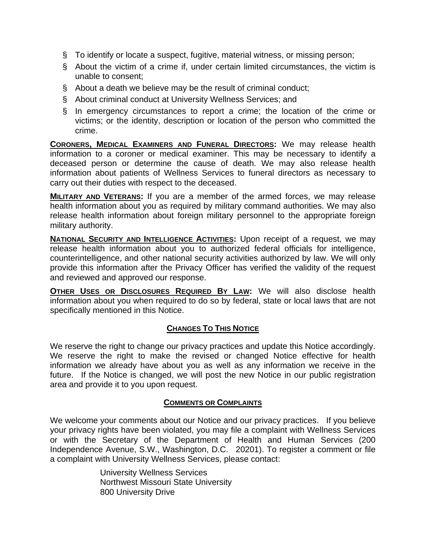- § To identify or locate a suspect, fugitive, material witness, or missing person;
- § About the victim of a crime if, under certain limited circumstances, the victim is unable to consent;
- § About a death we believe may be the result of criminal conduct;
- § About criminal conduct at University Wellness Services; and
- § In emergency circumstances to report a crime; the location of the crime or victims; or the identity, description or location of the person who committed the crime.

**CORONERS, MEDICAL EXAMINERS AND FUNERAL DIRECTORS:** We may release health information to a coroner or medical examiner. This may be necessary to identify a deceased person or determine the cause of death. We may also release health information about patients of Wellness Services to funeral directors as necessary to carry out their duties with respect to the deceased.

**MILITARY AND VETERANS:** If you are a member of the armed forces, we may release health information about you as required by military command authorities. We may also release health information about foreign military personnel to the appropriate foreign military authority.

**NATIONAL SECURITY AND INTELLIGENCE ACTIVITIES:** Upon receipt of a request, we may release health information about you to authorized federal officials for intelligence, counterintelligence, and other national security activities authorized by law. We will only provide this information after the Privacy Officer has verified the validity of the request and reviewed and approved our response.

**OTHER USES OR DISCLOSURES REQUIRED BY LAW:** We will also disclose health information about you when required to do so by federal, state or local laws that are not specifically mentioned in this Notice.

# **CHANGES TO THIS NOTICE**

We reserve the right to change our privacy practices and update this Notice accordingly. We reserve the right to make the revised or changed Notice effective for health information we already have about you as well as any information we receive in the future. If the Notice is changed, we will post the new Notice in our public registration area and provide it to you upon request.

# **COMMENTS OR COMPLAINTS**

We welcome your comments about our Notice and our privacy practices. If you believe your privacy rights have been violated, you may file a complaint with Wellness Services or with the Secretary of the Department of Health and Human Services (200 Independence Avenue, S.W., Washington, D.C. 20201). To register a comment or file a complaint with University Wellness Services, please contact:

> University Wellness Services Northwest Missouri State University 800 University Drive